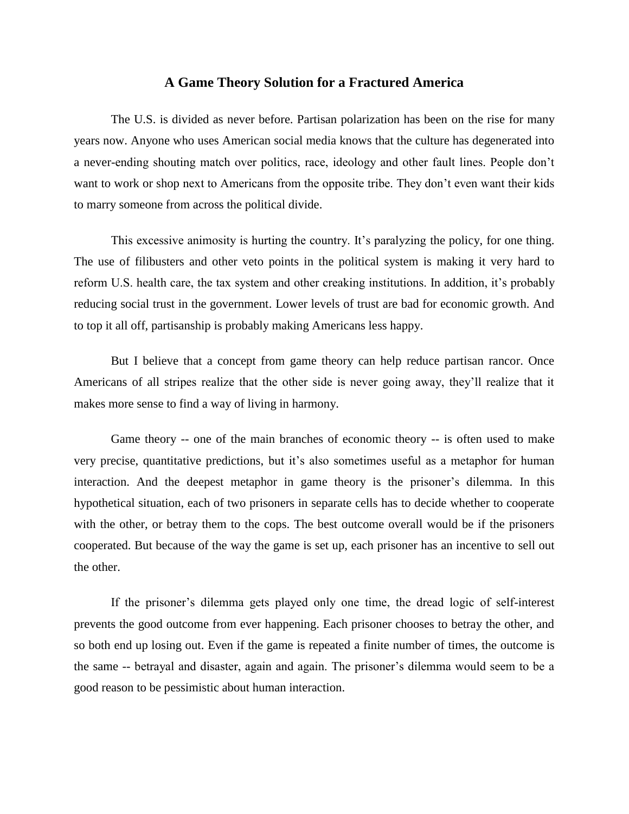## **A Game Theory Solution for a Fractured America**

The U.S. is divided as never before. Partisan polarization has been on the rise for many years now. Anyone who uses American social media knows that the culture has degenerated into a never-ending shouting match over politics, race, ideology and other fault lines. People don't want to [work or shop](https://hbr.org/2017/05/research-political-polarization-is-changing-how-americans-work-and-shop) next to Americans from the opposite tribe. They don't even want their kids [to marry](http://theslot.jezebel.com/study-we-dont-want-our-kids-marrying-across-the-aisle-1746698282) someone from across the political divide.

This excessive animosity is hurting the country. It's paralyzing the policy, for one thing. The use of filibusters and other veto points in the political system is making it very hard to reform U.S. health care, the tax system and other creaking institutions. In addition, it's probably reducing social trust in the government. Lower levels of trust are bad for economic growth. And to top it all off, partisanship is probably making Americans [less happy.](http://www.motherjones.com/politics/2017/03/donald-trump-republican-policies-making-americans-sad-again/)

But I believe that a concept from game theory can help reduce partisan rancor. Once Americans of all stripes realize that the other side is never going away, they'll realize that it makes more sense to find a way of living in harmony.

Game theory -- one of the main branches of economic theory -- is often used to make very precise, quantitative predictions, but it's also sometimes useful as a metaphor for human interaction. And the deepest metaphor in game theory is the [prisoner's dilemma.](http://www.investopedia.com/terms/p/prisoners-dilemma.asp) In this hypothetical situation, each of two prisoners in separate cells has to decide whether to cooperate with the other, or betray them to the cops. The best outcome overall would be if the prisoners cooperated. But because of the way the game is set up, each prisoner has an incentive to sell out the other.

If the prisoner's dilemma gets played only one time, the dread logic of self-interest prevents the good outcome from ever happening. Each prisoner chooses to betray the other, and so both end up losing out. Even if the game is repeated a finite number of times, the outcome is the same -- betrayal and disaster, again and again. The prisoner's dilemma would seem to be a good reason to be pessimistic about human interaction.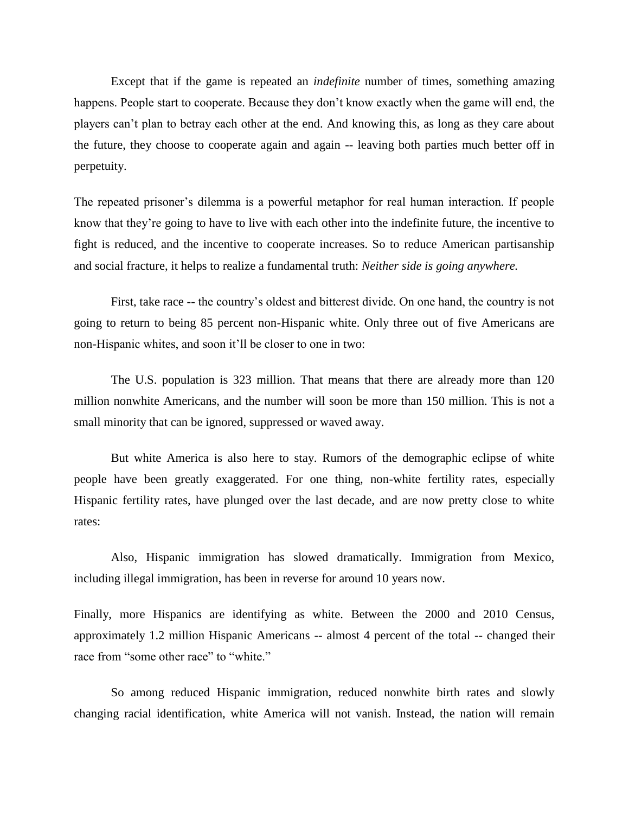Except that if the game is repeated an *indefinite* number of times, [something amazing](https://economics.mit.edu/files/4754) happens. People start to cooperate. Because they don't know exactly when the game will end, the players can't plan to betray each other at the end. And knowing this, as long as they care about the future, they choose to cooperate again and again -- leaving both parties much better off in perpetuity.

The repeated prisoner's dilemma is a powerful metaphor for real human interaction. If people know that they're going to have to live with each other into the indefinite future, the incentive to fight is reduced, and the incentive to cooperate increases. So to reduce American partisanship and social fracture, it helps to realize a fundamental truth: *Neither side is going anywhere.*

First, take race -- the country's oldest and bitterest divide. On one hand, the country is not going to return to being 85 percent non-Hispanic white. Only three out of five Americans are non-Hispanic whites, and soon it'll be closer to one in two:

The U.S. population is 323 million. That means that there are already more than 120 million nonwhite Americans, and the number will soon be more than 150 million. This is not a small minority that can be ignored, suppressed or waved away.

But white America is also here to stay. Rumors of the demographic eclipse of white people have been greatly exaggerated. For one thing, non-white fertility rates, especially Hispanic fertility rates, have [plunged](https://www.cdc.gov/nchs/data/nvsr/nvsr66/nvsr66_02.pdf) over the last decade, and are now pretty close to white rates:

Also, Hispanic immigration [has slowed](http://www.foxnews.com/world/2016/09/08/growth-us-latino-population-slows-study-finds-due-to-falling-immigration-birth.html) dramatically. Immigration from Mexico, including illegal immigration, has been in reverse for around 10 years now.

Finally, more Hispanics [are identifying](https://www.nytimes.com/2014/05/22/upshot/more-hispanics-declaring-themselves-white.html?mcubz=3) as white. Between the 2000 and 2010 Census, approximately 1.2 million Hispanic Americans -- almost 4 percent of the total -- changed their race from "some other race" to "white."

So among reduced Hispanic immigration, reduced nonwhite birth rates and slowly changing racial identification, white America will not vanish. Instead, the nation will remain